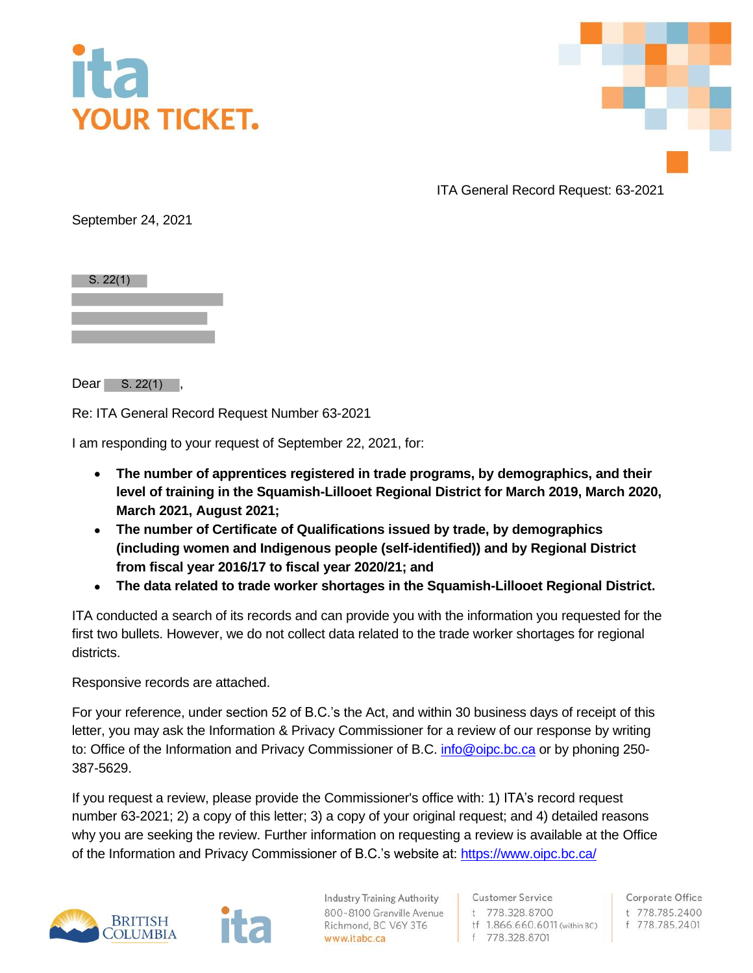



ITA General Record Request: 63-2021

September 24, 2021

 $S. 22(1)$ 

 $Dear$  S. 22(1),

Re: ITA General Record Request Number 63-2021

I am responding to your request of September 22, 2021, for:

- **The number of apprentices registered in trade programs, by demographics, and their level of training in the Squamish-Lillooet Regional District for March 2019, March 2020, March 2021, August 2021;**
- **The number of Certificate of Qualifications issued by trade, by demographics (including women and Indigenous people (self-identified)) and by Regional District from fiscal year 2016/17 to fiscal year 2020/21; and**
- **The data related to trade worker shortages in the Squamish-Lillooet Regional District.**

ITA conducted a search of its records and can provide you with the information you requested for the first two bullets. However, we do not collect data related to the trade worker shortages for regional districts.

Responsive records are attached.

For your reference, under section 52 of B.C.'s the Act, and within 30 business days of receipt of this letter, you may ask the Information & Privacy Commissioner for a review of our response by writing to: Office of the Information and Privacy Commissioner of B.C. [info@oipc.bc.ca](mailto:info@oipc.bc.ca) or by phoning 250-387-5629.

If you request a review, please provide the Commissioner's office with: 1) ITA's record request number 63-2021; 2) a copy of this letter; 3) a copy of your original request; and 4) detailed reasons why you are seeking the review. Further information on requesting a review is available at the Office of the Information and Privacy Commissioner of B.C.'s website at[: https://www.oipc.bc.ca/](https://www.oipc.bc.ca/)



**Industry Training Authority** 800-8100 Granville Avenue Richmond, BC V6Y 3T6 www.itabc.ca

**Customer Service** t 778.328.8700 tf 1.866.660.6011 (within BC) f 778.328.8701

Corporate Office t 778.785.2400 f 778.785.2401